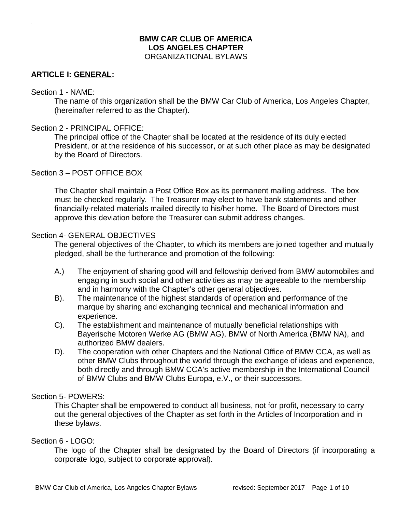### **BMW CAR CLUB OF AMERICA LOS ANGELES CHAPTER** ORGANIZATIONAL BYLAWS

### **ARTICLE I: GENERAL:**

#### Section 1 - NAME:

The name of this organization shall be the BMW Car Club of America, Los Angeles Chapter, (hereinafter referred to as the Chapter).

#### Section 2 - PRINCIPAL OFFICE:

The principal office of the Chapter shall be located at the residence of its duly elected President, or at the residence of his successor, or at such other place as may be designated by the Board of Directors.

### Section 3 – POST OFFICE BOX

The Chapter shall maintain a Post Office Box as its permanent mailing address. The box must be checked regularly. The Treasurer may elect to have bank statements and other financially-related materials mailed directly to his/her home. The Board of Directors must approve this deviation before the Treasurer can submit address changes.

#### Section 4- GENERAL OBJECTIVES

The general objectives of the Chapter, to which its members are joined together and mutually pledged, shall be the furtherance and promotion of the following:

- A.) The enjoyment of sharing good will and fellowship derived from BMW automobiles and engaging in such social and other activities as may be agreeable to the membership and in harmony with the Chapter's other general objectives.
- B). The maintenance of the highest standards of operation and performance of the marque by sharing and exchanging technical and mechanical information and experience.
- C). The establishment and maintenance of mutually beneficial relationships with Bayerische Motoren Werke AG (BMW AG), BMW of North America (BMW NA), and authorized BMW dealers.
- D). The cooperation with other Chapters and the National Office of BMW CCA, as well as other BMW Clubs throughout the world through the exchange of ideas and experience, both directly and through BMW CCA's active membership in the International Council of BMW Clubs and BMW Clubs Europa, e.V., or their successors.

### Section 5- POWERS:

This Chapter shall be empowered to conduct all business, not for profit, necessary to carry out the general objectives of the Chapter as set forth in the Articles of Incorporation and in these bylaws.

#### Section 6 - LOGO:

The logo of the Chapter shall be designated by the Board of Directors (if incorporating a corporate logo, subject to corporate approval).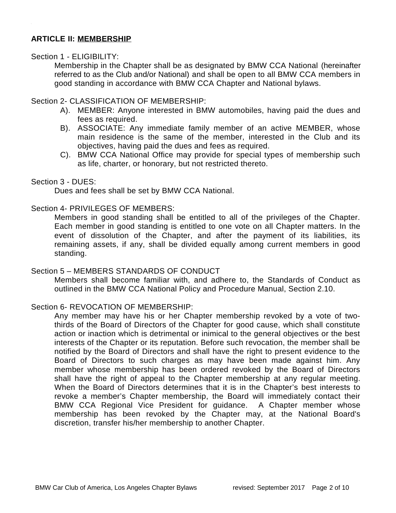# **ARTICLE II: MEMBERSHIP**

### Section 1 - ELIGIBILITY:

Membership in the Chapter shall be as designated by BMW CCA National (hereinafter referred to as the Club and/or National) and shall be open to all BMW CCA members in good standing in accordance with BMW CCA Chapter and National bylaws.

## Section 2- CLASSIFICATION OF MEMBERSHIP:

- A). MEMBER: Anyone interested in BMW automobiles, having paid the dues and fees as required.
- B). ASSOCIATE: Any immediate family member of an active MEMBER, whose main residence is the same of the member, interested in the Club and its objectives, having paid the dues and fees as required.
- C). BMW CCA National Office may provide for special types of membership such as life, charter, or honorary, but not restricted thereto.

## Section 3 - DUES:

Dues and fees shall be set by BMW CCA National.

### Section 4- PRIVILEGES OF MEMBERS:

Members in good standing shall be entitled to all of the privileges of the Chapter. Each member in good standing is entitled to one vote on all Chapter matters. In the event of dissolution of the Chapter, and after the payment of its liabilities, its remaining assets, if any, shall be divided equally among current members in good standing.

### Section 5 – MEMBERS STANDARDS OF CONDUCT

Members shall become familiar with, and adhere to, the Standards of Conduct as outlined in the BMW CCA National Policy and Procedure Manual, Section 2.10.

# Section 6- REVOCATION OF MEMBERSHIP:

Any member may have his or her Chapter membership revoked by a vote of twothirds of the Board of Directors of the Chapter for good cause, which shall constitute action or inaction which is detrimental or inimical to the general objectives or the best interests of the Chapter or its reputation. Before such revocation, the member shall be notified by the Board of Directors and shall have the right to present evidence to the Board of Directors to such charges as may have been made against him. Any member whose membership has been ordered revoked by the Board of Directors shall have the right of appeal to the Chapter membership at any regular meeting. When the Board of Directors determines that it is in the Chapter's best interests to revoke a member's Chapter membership, the Board will immediately contact their BMW CCA Regional Vice President for guidance. A Chapter member whose membership has been revoked by the Chapter may, at the National Board's discretion, transfer his/her membership to another Chapter.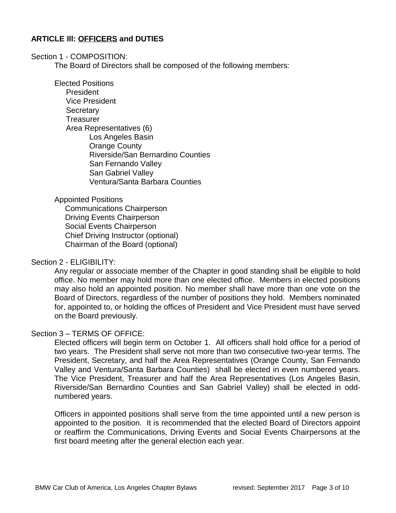## **ARTICLE Ill: OFFICERS and DUTIES**

#### Section 1 - COMPOSITION:

The Board of Directors shall be composed of the following members:

Elected Positions President Vice President **Secretary Treasurer** Area Representatives (6) Los Angeles Basin Orange County Riverside/San Bernardino Counties San Fernando Valley San Gabriel Valley Ventura/Santa Barbara Counties

#### Appointed Positions

Communications Chairperson Driving Events Chairperson Social Events Chairperson Chief Driving Instructor (optional) Chairman of the Board (optional)

### Section 2 - ELIGIBILITY:

Any regular or associate member of the Chapter in good standing shall be eligible to hold office. No member may hold more than one elected office. Members in elected positions may also hold an appointed position. No member shall have more than one vote on the Board of Directors, regardless of the number of positions they hold. Members nominated for, appointed to, or holding the offices of President and Vice President must have served on the Board previously.

### Section 3 – TERMS OF OFFICE:

Elected officers will begin term on October 1. All officers shall hold office for a period of two years. The President shall serve not more than two consecutive two-year terms. The President, Secretary, and half the Area Representatives (Orange County, San Fernando Valley and Ventura/Santa Barbara Counties) shall be elected in even numbered years. The Vice President, Treasurer and half the Area Representatives (Los Angeles Basin, Riverside/San Bernardino Counties and San Gabriel Valley) shall be elected in oddnumbered years.

Officers in appointed positions shall serve from the time appointed until a new person is appointed to the position. It is recommended that the elected Board of Directors appoint or reaffirm the Communications, Driving Events and Social Events Chairpersons at the first board meeting after the general election each year.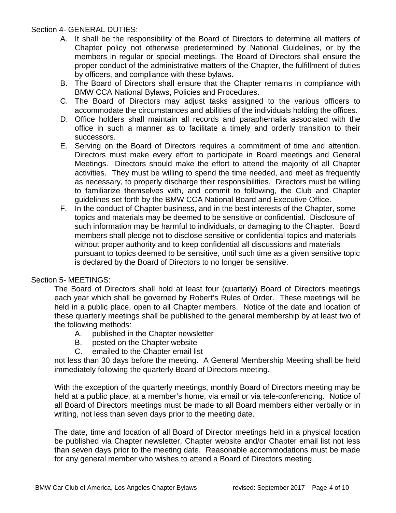# Section 4- GENERAL DUTIES:

- A. It shall be the responsibility of the Board of Directors to determine all matters of Chapter policy not otherwise predetermined by National Guidelines, or by the members in regular or special meetings. The Board of Directors shall ensure the proper conduct of the administrative matters of the Chapter, the fulfillment of duties by officers, and compliance with these bylaws.
- B. The Board of Directors shall ensure that the Chapter remains in compliance with BMW CCA National Bylaws, Policies and Procedures.
- C. The Board of Directors may adjust tasks assigned to the various officers to accommodate the circumstances and abilities of the individuals holding the offices.
- D. Office holders shall maintain all records and paraphernalia associated with the office in such a manner as to facilitate a timely and orderly transition to their successors.
- E. Serving on the Board of Directors requires a commitment of time and attention. Directors must make every effort to participate in Board meetings and General Meetings. Directors should make the effort to attend the majority of all Chapter activities. They must be willing to spend the time needed, and meet as frequently as necessary, to properly discharge their responsibilities. Directors must be willing to familiarize themselves with, and commit to following, the Club and Chapter guidelines set forth by the BMW CCA National Board and Executive Office.
- F. In the conduct of Chapter business, and in the best interests of the Chapter, some topics and materials may be deemed to be sensitive or confidential. Disclosure of such information may be harmful to individuals, or damaging to the Chapter. Board members shall pledge not to disclose sensitive or confidential topics and materials without proper authority and to keep confidential all discussions and materials pursuant to topics deemed to be sensitive, until such time as a given sensitive topic is declared by the Board of Directors to no longer be sensitive.

# Section 5- MEETINGS:

The Board of Directors shall hold at least four (quarterly) Board of Directors meetings each year which shall be governed by Robert's Rules of Order. These meetings will be held in a public place, open to all Chapter members. Notice of the date and location of these quarterly meetings shall be published to the general membership by at least two of the following methods:

- A. published in the Chapter newsletter
- B. posted on the Chapter website
- C. emailed to the Chapter email list

not less than 30 days before the meeting. A General Membership Meeting shall be held immediately following the quarterly Board of Directors meeting.

With the exception of the quarterly meetings, monthly Board of Directors meeting may be held at a public place, at a member's home, via email or via tele-conferencing. Notice of all Board of Directors meetings must be made to all Board members either verbally or in writing, not less than seven days prior to the meeting date.

The date, time and location of all Board of Director meetings held in a physical location be published via Chapter newsletter, Chapter website and/or Chapter email list not less than seven days prior to the meeting date. Reasonable accommodations must be made for any general member who wishes to attend a Board of Directors meeting.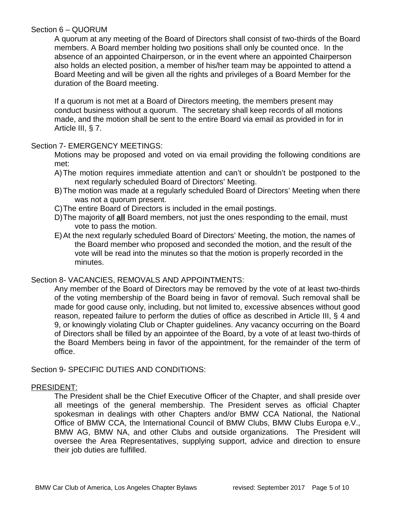## Section 6 – QUORUM

A quorum at any meeting of the Board of Directors shall consist of two-thirds of the Board members. A Board member holding two positions shall only be counted once. In the absence of an appointed Chairperson, or in the event where an appointed Chairperson also holds an elected position, a member of his/her team may be appointed to attend a Board Meeting and will be given all the rights and privileges of a Board Member for the duration of the Board meeting.

If a quorum is not met at a Board of Directors meeting, the members present may conduct business without a quorum. The secretary shall keep records of all motions made, and the motion shall be sent to the entire Board via email as provided in for in Article III, § 7.

## Section 7- EMERGENCY MEETINGS:

Motions may be proposed and voted on via email providing the following conditions are met:

- A)The motion requires immediate attention and can't or shouldn't be postponed to the next regularly scheduled Board of Directors' Meeting.
- B)The motion was made at a regularly scheduled Board of Directors' Meeting when there was not a quorum present.
- C)The entire Board of Directors is included in the email postings.
- D)The majority of **all** Board members, not just the ones responding to the email, must vote to pass the motion.
- E)At the next regularly scheduled Board of Directors' Meeting, the motion, the names of the Board member who proposed and seconded the motion, and the result of the vote will be read into the minutes so that the motion is properly recorded in the minutes.

# Section 8- VACANCIES, REMOVALS AND APPOINTMENTS:

Any member of the Board of Directors may be removed by the vote of at least two-thirds of the voting membership of the Board being in favor of removal. Such removal shall be made for good cause only, including, but not limited to, excessive absences without good reason, repeated failure to perform the duties of office as described in Article III, § 4 and 9, or knowingly violating Club or Chapter guidelines. Any vacancy occurring on the Board of Directors shall be filled by an appointee of the Board, by a vote of at least two-thirds of the Board Members being in favor of the appointment, for the remainder of the term of office.

Section 9- SPECIFIC DUTIES AND CONDITIONS:

### PRESIDENT:

The President shall be the Chief Executive Officer of the Chapter, and shall preside over all meetings of the general membership. The President serves as official Chapter spokesman in dealings with other Chapters and/or BMW CCA National, the National Office of BMW CCA, the International Council of BMW Clubs, BMW Clubs Europa e.V., BMW AG, BMW NA, and other Clubs and outside organizations. The President will oversee the Area Representatives, supplying support, advice and direction to ensure their job duties are fulfilled.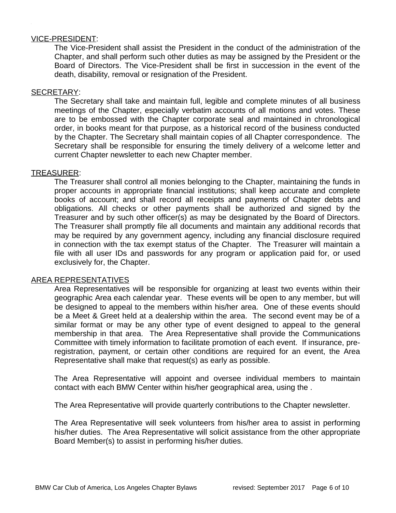#### VICE-PRESIDENT:

The Vice-President shall assist the President in the conduct of the administration of the Chapter, and shall perform such other duties as may be assigned by the President or the Board of Directors. The Vice-President shall be first in succession in the event of the death, disability, removal or resignation of the President.

#### SECRETARY:

The Secretary shall take and maintain full, legible and complete minutes of all business meetings of the Chapter, especially verbatim accounts of all motions and votes. These are to be embossed with the Chapter corporate seal and maintained in chronological order, in books meant for that purpose, as a historical record of the business conducted by the Chapter. The Secretary shall maintain copies of all Chapter correspondence. The Secretary shall be responsible for ensuring the timely delivery of a welcome letter and current Chapter newsletter to each new Chapter member.

#### TREASURER:

The Treasurer shall control all monies belonging to the Chapter, maintaining the funds in proper accounts in appropriate financial institutions; shall keep accurate and complete books of account; and shall record all receipts and payments of Chapter debts and obligations. All checks or other payments shall be authorized and signed by the Treasurer and by such other officer(s) as may be designated by the Board of Directors. The Treasurer shall promptly file all documents and maintain any additional records that may be required by any government agency, including any financial disclosure required in connection with the tax exempt status of the Chapter. The Treasurer will maintain a file with all user IDs and passwords for any program or application paid for, or used exclusively for, the Chapter.

### AREA REPRESENTATIVES

Area Representatives will be responsible for organizing at least two events within their geographic Area each calendar year. These events will be open to any member, but will be designed to appeal to the members within his/her area. One of these events should be a Meet & Greet held at a dealership within the area. The second event may be of a similar format or may be any other type of event designed to appeal to the general membership in that area. The Area Representative shall provide the Communications Committee with timely information to facilitate promotion of each event. If insurance, preregistration, payment, or certain other conditions are required for an event, the Area Representative shall make that request(s) as early as possible.

The Area Representative will appoint and oversee individual members to maintain contact with each BMW Center within his/her geographical area, using the .

The Area Representative will provide quarterly contributions to the Chapter newsletter.

The Area Representative will seek volunteers from his/her area to assist in performing his/her duties. The Area Representative will solicit assistance from the other appropriate Board Member(s) to assist in performing his/her duties.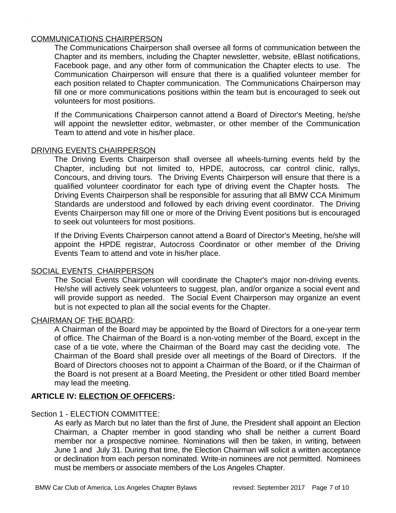### COMMUNICATIONS CHAIRPERSON

The Communications Chairperson shall oversee all forms of communication between the Chapter and its members, including the Chapter newsletter, website, eBlast notifications, Facebook page, and any other form of communication the Chapter elects to use. The Communication Chairperson will ensure that there is a qualified volunteer member for each position related to Chapter communication. The Communications Chairperson may fill one or more communications positions within the team but is encouraged to seek out volunteers for most positions.

If the Communications Chairperson cannot attend a Board of Director's Meeting, he/she will appoint the newsletter editor, webmaster, or other member of the Communication Team to attend and vote in his/her place.

### DRIVING EVENTS CHAIRPERSON

The Driving Events Chairperson shall oversee all wheels-turning events held by the Chapter, including but not limited to, HPDE, autocross, car control clinic, rallys, Concours, and driving tours. The Driving Events Chairperson will ensure that there is a qualified volunteer coordinator for each type of driving event the Chapter hosts. The Driving Events Chairperson shall be responsible for assuring that all BMW CCA Minimum Standards are understood and followed by each driving event coordinator. The Driving Events Chairperson may fill one or more of the Driving Event positions but is encouraged to seek out volunteers for most positions.

If the Driving Events Chairperson cannot attend a Board of Director's Meeting, he/she will appoint the HPDE registrar, Autocross Coordinator or other member of the Driving Events Team to attend and vote in his/her place.

### SOCIAL EVENTS CHAIRPERSON

The Social Events Chairperson will coordinate the Chapter's major non-driving events. He/she will actively seek volunteers to suggest, plan, and/or organize a social event and will provide support as needed. The Social Event Chairperson may organize an event but is not expected to plan all the social events for the Chapter.

# CHAIRMAN OF THE BOARD:

A Chairman of the Board may be appointed by the Board of Directors for a one-year term of office. The Chairman of the Board is a non-voting member of the Board, except in the case of a tie vote, where the Chairman of the Board may cast the deciding vote. The Chairman of the Board shall preside over all meetings of the Board of Directors. If the Board of Directors chooses not to appoint a Chairman of the Board, or if the Chairman of the Board is not present at a Board Meeting, the President or other titled Board member may lead the meeting.

### **ARTICLE IV: ELECTION OF OFFICERS:**

### Section 1 - ELECTION COMMITTEE:

As early as March but no later than the first of June, the President shall appoint an Election Chairman, a Chapter member in good standing who shall be neither a current Board member nor a prospective nominee. Nominations will then be taken, in writing, between June 1 and July 31. During that time, the Election Chairman will solicit a written acceptance or declination from each person nominated. Write-in nominees are not permitted. Nominees must be members or associate members of the Los Angeles Chapter.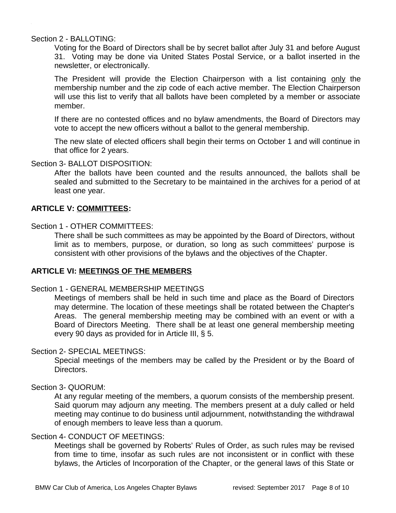#### Section 2 - BALLOTING:

Voting for the Board of Directors shall be by secret ballot after July 31 and before August 31. Voting may be done via United States Postal Service, or a ballot inserted in the newsletter, or electronically.

The President will provide the Election Chairperson with a list containing only the membership number and the zip code of each active member. The Election Chairperson will use this list to verify that all ballots have been completed by a member or associate member.

If there are no contested offices and no bylaw amendments, the Board of Directors may vote to accept the new officers without a ballot to the general membership.

The new slate of elected officers shall begin their terms on October 1 and will continue in that office for 2 years.

### Section 3- BALLOT DISPOSITION:

After the ballots have been counted and the results announced, the ballots shall be sealed and submitted to the Secretary to be maintained in the archives for a period of at least one year.

### **ARTICLE V: COMMITTEES:**

### Section 1 - OTHER COMMITTEES:

There shall be such committees as may be appointed by the Board of Directors, without limit as to members, purpose, or duration, so long as such committees' purpose is consistent with other provisions of the bylaws and the objectives of the Chapter.

## **ARTICLE VI: MEETINGS OF THE MEMBERS**

### Section 1 - GENERAL MEMBERSHIP MEETINGS

Meetings of members shall be held in such time and place as the Board of Directors may determine. The location of these meetings shall be rotated between the Chapter's Areas. The general membership meeting may be combined with an event or with a Board of Directors Meeting. There shall be at least one general membership meeting every 90 days as provided for in Article III, § 5.

### Section 2- SPECIAL MEETINGS:

Special meetings of the members may be called by the President or by the Board of Directors.

### Section 3- QUORUM:

At any regular meeting of the members, a quorum consists of the membership present. Said quorum may adjourn any meeting. The members present at a duly called or held meeting may continue to do business until adjournment, notwithstanding the withdrawal of enough members to leave less than a quorum.

### Section 4- CONDUCT OF MEETINGS:

Meetings shall be governed by Roberts' Rules of Order, as such rules may be revised from time to time, insofar as such rules are not inconsistent or in conflict with these bylaws, the Articles of Incorporation of the Chapter, or the general laws of this State or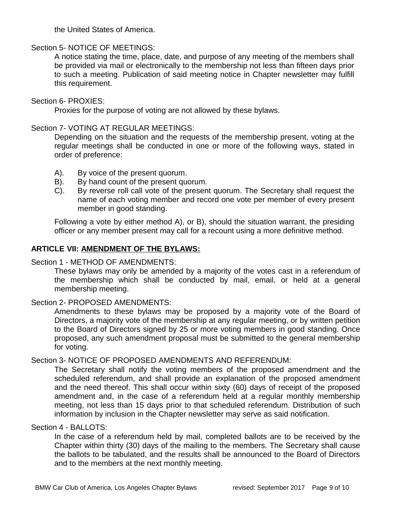the United States of America.

### Section 5- NOTICE OF MEETINGS:

A notice stating the time, place, date, and purpose of any meeting of the members shall be provided via mail or electronically to the membership not less than fifteen days prior to such a meeting. Publication of said meeting notice in Chapter newsletter may fulfill this requirement.

#### Section 6- PROXIES:

Proxies for the purpose of voting are not allowed by these bylaws.

#### Section 7- VOTING AT REGULAR MEETINGS:

Depending on the situation and the requests of the membership present, voting at the regular meetings shall be conducted in one or more of the following ways, stated in order of preference:

- A). By voice of the present quorum.
- B). By hand count of the present quorum.
- C). By reverse roll call vote of the present quorum. The Secretary shall request the name of each voting member and record one vote per member of every present member in good standing.

Following a vote by either method A), or B), should the situation warrant, the presiding officer or any member present may call for a recount using a more definitive method.

### **ARTICLE VII: AMENDMENT OF THE BYLAWS:**

#### Section 1 - METHOD OF AMENDMENTS:

These bylaws may only be amended by a majority of the votes cast in a referendum of the membership which shall be conducted by mail, email, or held at a general membership meeting.

### Section 2- PROPOSED AMENDMENTS:

Amendments to these bylaws may be proposed by a majority vote of the Board of Directors, a majority vote of the membership at any regular meeting, or by written petition to the Board of Directors signed by 25 or more voting members in good standing. Once proposed, any such amendment proposal must be submitted to the general membership for voting.

### Section 3- NOTICE OF PROPOSED AMENDMENTS AND REFERENDUM:

The Secretary shall notify the voting members of the proposed amendment and the scheduled referendum, and shall provide an explanation of the proposed amendment and the need thereof. This shall occur within sixty (60) days of receipt of the proposed amendment and, in the case of a referendum held at a regular monthly membership meeting, not less than 15 days prior to that scheduled referendum. Distribution of such information by inclusion in the Chapter newsletter may serve as said notification.

#### Section 4 - BALLOTS:

In the case of a referendum held by mail, completed ballots are to be received by the Chapter within thirty (30) days of the mailing to the members. The Secretary shall cause the ballots to be tabulated, and the results shall be announced to the Board of Directors and to the members at the next monthly meeting.